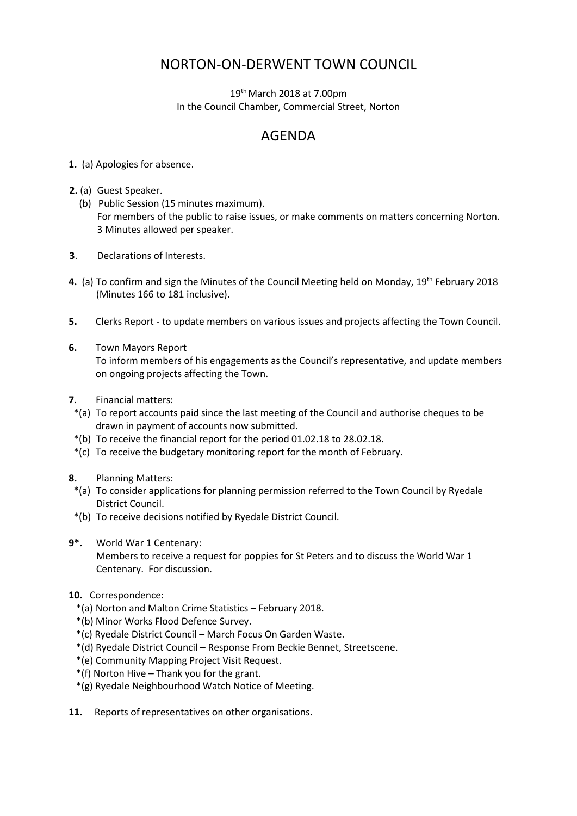## NORTON-ON-DERWENT TOWN COUNCIL

19<sup>th</sup> March 2018 at 7.00pm In the Council Chamber, Commercial Street, Norton

## AGENDA

- **1.** (a) Apologies for absence.
- **2.** (a) Guest Speaker.
	- (b) Public Session (15 minutes maximum). For members of the public to raise issues, or make comments on matters concerning Norton. 3 Minutes allowed per speaker.
- **3**. Declarations of Interests.
- **4.** (a) To confirm and sign the Minutes of the Council Meeting held on Monday, 19<sup>th</sup> February 2018 (Minutes 166 to 181 inclusive).
- **5.** Clerks Report to update members on various issues and projects affecting the Town Council.
- **6.** Town Mayors Report To inform members of his engagements as the Council's representative, and update members on ongoing projects affecting the Town.
- **7**. Financial matters:
- \*(a) To report accounts paid since the last meeting of the Council and authorise cheques to be drawn in payment of accounts now submitted.
- \*(b) To receive the financial report for the period 01.02.18 to 28.02.18.
- \*(c) To receive the budgetary monitoring report for the month of February.
- **8.** Planning Matters:
- \*(a) To consider applications for planning permission referred to the Town Council by Ryedale District Council.
- \*(b) To receive decisions notified by Ryedale District Council.
- **9\*.** World War 1 Centenary: Members to receive a request for poppies for St Peters and to discuss the World War 1 Centenary. For discussion.
- **10.** Correspondence:
	- \*(a) Norton and Malton Crime Statistics February 2018.
	- \*(b) Minor Works Flood Defence Survey.
	- \*(c) Ryedale District Council March Focus On Garden Waste.
	- \*(d) Ryedale District Council Response From Beckie Bennet, Streetscene.
	- \*(e) Community Mapping Project Visit Request.
	- \*(f) Norton Hive Thank you for the grant.
	- \*(g) Ryedale Neighbourhood Watch Notice of Meeting.
- **11.** Reports of representatives on other organisations.